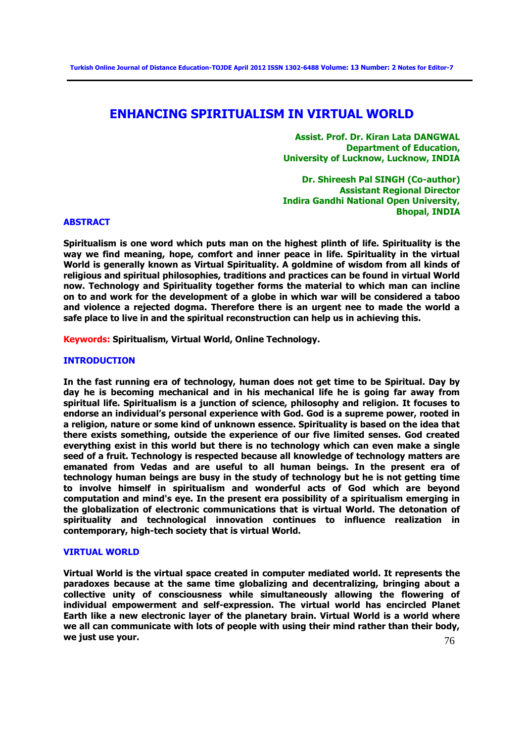# **ENHANCING SPIRITUALISM IN VIRTUAL WORLD**

**Assist. Prof. Dr. Kiran Lata DANGWAL Department of Education, University of Lucknow, Lucknow, INDIA** 

**Dr. Shireesh Pal SINGH (Co-author) Assistant Regional Director Indira Gandhi National Open University, Bhopal, INDIA** 

### **ABSTRACT**

**Spiritualism is one word which puts man on the highest plinth of life. Spirituality is the way we find meaning, hope, comfort and inner peace in life. Spirituality in the virtual World is generally known as Virtual Spirituality. A goldmine of wisdom from all kinds of religious and spiritual philosophies, traditions and practices can be found in virtual World now. Technology and Spirituality together forms the material to which man can incline on to and work for the development of a globe in which war will be considered a taboo and violence a rejected dogma. Therefore there is an urgent nee to made the world a safe place to live in and the spiritual reconstruction can help us in achieving this.** 

**Keywords: Spiritualism, Virtual World, Online Technology.** 

# **INTRODUCTION**

**In the fast running era of technology, human does not get time to be Spiritual. Day by day he is becoming mechanical and in his mechanical life he is going far away from spiritual life. Spiritualism is a junction of science, philosophy and religion. It focuses to endorse an individual's personal experience with God. God is a supreme power, rooted in a religion, nature or some kind of unknown essence. Spirituality is based on the idea that there exists something, outside the experience of our five limited senses. God created everything exist in this world but there is no technology which can even make a single seed of a fruit. Technology is respected because all knowledge of technology matters are emanated from Vedas and are useful to all human beings. In the present era of technology human beings are busy in the study of technology but he is not getting time to involve himself in spiritualism and wonderful acts of God which are beyond computation and mind's eye. In the present era possibility of a spiritualism emerging in the globalization of electronic communications that is virtual World. The detonation of spirituality and technological innovation continues to influence realization in contemporary, high-tech society that is virtual World.** 

### **VIRTUAL WORLD**

76 **Virtual World is the virtual space created in computer mediated world. It represents the paradoxes because at the same time globalizing and decentralizing, bringing about a collective unity of consciousness while simultaneously allowing the flowering of individual empowerment and self-expression. The virtual world has encircled Planet Earth like a new electronic layer of the planetary brain. Virtual World is a world where we all can communicate with lots of people with using their mind rather than their body, we just use your.**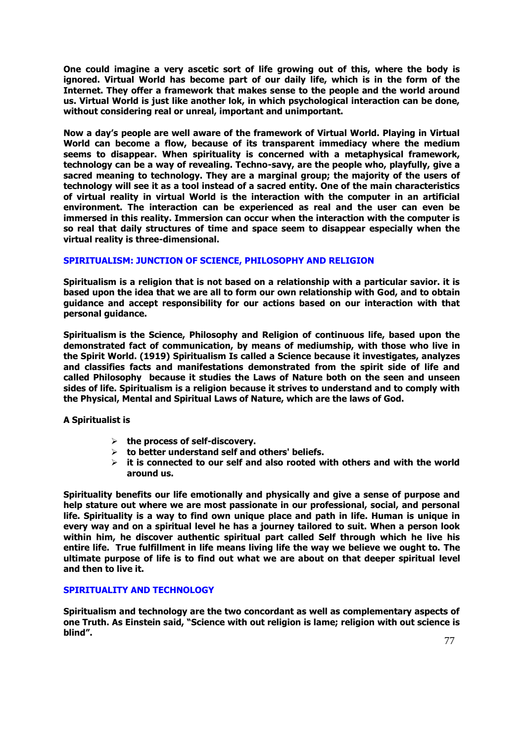**One could imagine a very ascetic sort of life growing out of this, where the body is ignored. Virtual World has become part of our daily life, which is in the form of the Internet. They offer a framework that makes sense to the people and the world around us. Virtual World is just like another lok, in which psychological interaction can be done, without considering real or unreal, important and unimportant.** 

**Now a day's people are well aware of the framework of Virtual World. Playing in Virtual World can become a flow, because of its transparent immediacy where the medium seems to disappear. When spirituality is concerned with a metaphysical framework, technology can be a way of revealing. Techno-savy, are the people who, playfully, give a sacred meaning to technology. They are a marginal group; the majority of the users of technology will see it as a tool instead of a sacred entity. One of the main characteristics of virtual reality in virtual World is the interaction with the computer in an artificial environment. The interaction can be experienced as real and the user can even be immersed in this reality. Immersion can occur when the interaction with the computer is so real that daily structures of time and space seem to disappear especially when the virtual reality is three-dimensional.** 

# **SPIRITUALISM: JUNCTION OF SCIENCE, PHILOSOPHY AND RELIGION**

**Spiritualism is a religion that is not based on a relationship with a particular savior. it is based upon the idea that we are all to form our own relationship with God, and to obtain guidance and accept responsibility for our actions based on our interaction with that personal guidance.** 

**Spiritualism is the Science, Philosophy and Religion of continuous life, based upon the demonstrated fact of communication, by means of mediumship, with those who live in the Spirit World. (1919) Spiritualism Is called a Science because it investigates, analyzes and classifies facts and manifestations demonstrated from the spirit side of life and called Philosophy because it studies the Laws of Nature both on the seen and unseen sides of life. Spiritualism is a religion because it strives to understand and to comply with the Physical, Mental and Spiritual Laws of Nature, which are the laws of God.** 

**A Spiritualist is** 

- **the process of self-discovery.**
- **to better understand self and others' beliefs.**
- **it is connected to our self and also rooted with others and with the world around us.**

**Spirituality benefits our life emotionally and physically and give a sense of purpose and help stature out where we are most passionate in our professional, social, and personal life. Spirituality is a way to find own unique place and path in life. Human is unique in every way and on a spiritual level he has a journey tailored to suit. When a person look within him, he discover authentic spiritual part called Self through which he live his entire life. True fulfillment in life means living life the way we believe we ought to. The ultimate purpose of life is to find out what we are about on that deeper spiritual level and then to live it.** 

# **SPIRITUALITY AND TECHNOLOGY**

**Spiritualism and technology are the two concordant as well as complementary aspects of one Truth. As Einstein said, "Science with out religion is lame; religion with out science is blind".**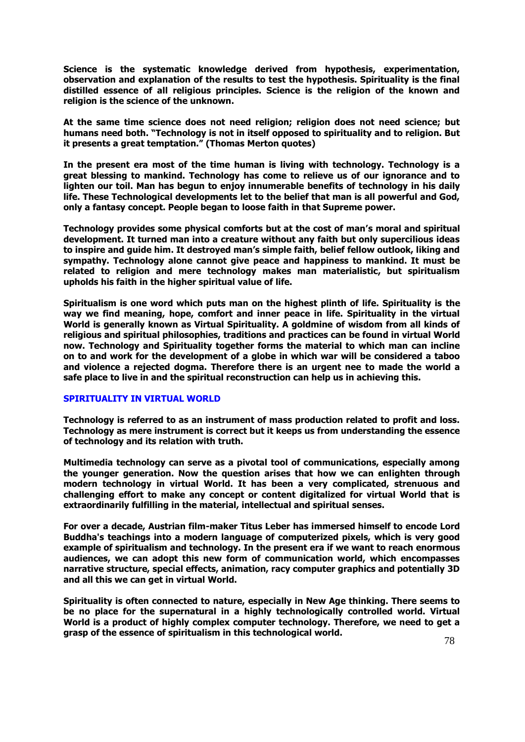**Science is the systematic knowledge derived from hypothesis, experimentation, observation and explanation of the results to test the hypothesis. Spirituality is the final distilled essence of all religious principles. Science is the religion of the known and religion is the science of the unknown.** 

**At the same time science does not need religion; religion does not need science; but humans need both. "Technology is not in itself opposed to spirituality and to religion. But it presents a great temptation." (Thomas Merton quotes)** 

**In the present era most of the time human is living with technology. Technology is a great blessing to mankind. Technology has come to relieve us of our ignorance and to lighten our toil. Man has begun to enjoy innumerable benefits of technology in his daily life. These Technological developments let to the belief that man is all powerful and God, only a fantasy concept. People began to loose faith in that Supreme power.** 

**Technology provides some physical comforts but at the cost of man's moral and spiritual development. It turned man into a creature without any faith but only supercilious ideas to inspire and guide him. It destroyed man's simple faith, belief fellow outlook, liking and sympathy. Technology alone cannot give peace and happiness to mankind. It must be related to religion and mere technology makes man materialistic, but spiritualism upholds his faith in the higher spiritual value of life.** 

**Spiritualism is one word which puts man on the highest plinth of life. Spirituality is the way we find meaning, hope, comfort and inner peace in life. Spirituality in the virtual World is generally known as Virtual Spirituality. A goldmine of wisdom from all kinds of religious and spiritual philosophies, traditions and practices can be found in virtual World now. Technology and Spirituality together forms the material to which man can incline on to and work for the development of a globe in which war will be considered a taboo and violence a rejected dogma. Therefore there is an urgent nee to made the world a safe place to live in and the spiritual reconstruction can help us in achieving this.** 

# **SPIRITUALITY IN VIRTUAL WORLD**

**Technology is referred to as an instrument of mass production related to profit and loss. Technology as mere instrument is correct but it keeps us from understanding the essence of technology and its relation with truth.** 

**Multimedia technology can serve as a pivotal tool of communications, especially among the younger generation. Now the question arises that how we can enlighten through modern technology in virtual World. It has been a very complicated, strenuous and challenging effort to make any concept or content digitalized for virtual World that is extraordinarily fulfilling in the material, intellectual and spiritual senses.** 

**For over a decade, Austrian film-maker Titus Leber has immersed himself to encode Lord Buddha's teachings into a modern language of computerized pixels, which is very good example of spiritualism and technology. In the present era if we want to reach enormous audiences, we can adopt this new form of communication world, which encompasses narrative structure, special effects, animation, racy computer graphics and potentially 3D and all this we can get in virtual World.** 

**Spirituality is often connected to nature, especially in New Age thinking. There seems to be no place for the supernatural in a highly technologically controlled world. Virtual World is a product of highly complex computer technology. Therefore, we need to get a grasp of the essence of spiritualism in this technological world.**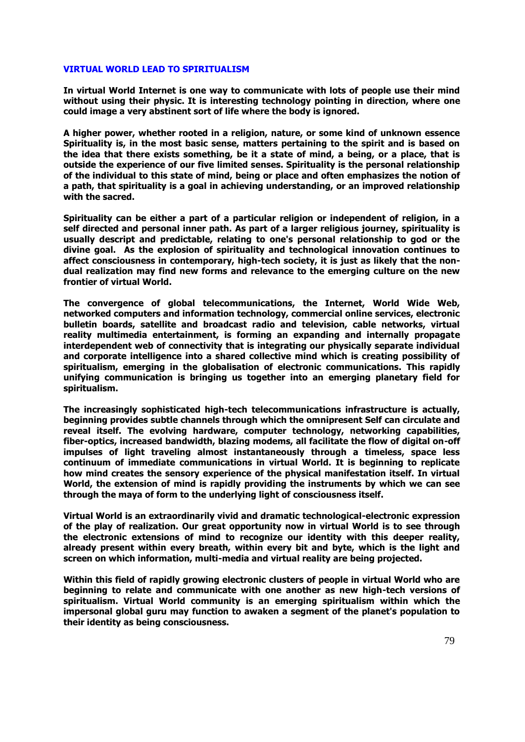### **VIRTUAL WORLD LEAD TO SPIRITUALISM**

**In virtual World Internet is one way to communicate with lots of people use their mind without using their physic. It is interesting technology pointing in direction, where one could image a very abstinent sort of life where the body is ignored.** 

**A higher power, whether rooted in a religion, nature, or some kind of unknown essence Spirituality is, in the most basic sense, matters pertaining to the spirit and is based on the idea that there exists something, be it a state of mind, a being, or a place, that is outside the experience of our five limited senses. Spirituality is the personal relationship of the individual to this state of mind, being or place and often emphasizes the notion of a path, that spirituality is a goal in achieving understanding, or an improved relationship with the sacred.** 

**Spirituality can be either a part of a particular religion or independent of religion, in a self directed and personal inner path. As part of a larger religious journey, spirituality is usually descript and predictable, relating to one's personal relationship to god or the divine goal. As the explosion of spirituality and technological innovation continues to affect consciousness in contemporary, high-tech society, it is just as likely that the nondual realization may find new forms and relevance to the emerging culture on the new frontier of virtual World.** 

**The convergence of global telecommunications, the Internet, World Wide Web, networked computers and information technology, commercial online services, electronic bulletin boards, satellite and broadcast radio and television, cable networks, virtual reality multimedia entertainment, is forming an expanding and internally propagate interdependent web of connectivity that is integrating our physically separate individual and corporate intelligence into a shared collective mind which is creating possibility of spiritualism, emerging in the globalisation of electronic communications. This rapidly unifying communication is bringing us together into an emerging planetary field for spiritualism.** 

**The increasingly sophisticated high-tech telecommunications infrastructure is actually, beginning provides subtle channels through which the omnipresent Self can circulate and reveal itself. The evolving hardware, computer technology, networking capabilities, fiber-optics, increased bandwidth, blazing modems, all facilitate the flow of digital on-off impulses of light traveling almost instantaneously through a timeless, space less continuum of immediate communications in virtual World. It is beginning to replicate how mind creates the sensory experience of the physical manifestation itself. In virtual World, the extension of mind is rapidly providing the instruments by which we can see through the maya of form to the underlying light of consciousness itself.** 

**Virtual World is an extraordinarily vivid and dramatic technological-electronic expression of the play of realization. Our great opportunity now in virtual World is to see through the electronic extensions of mind to recognize our identity with this deeper reality, already present within every breath, within every bit and byte, which is the light and screen on which information, multi-media and virtual reality are being projected.** 

**Within this field of rapidly growing electronic clusters of people in virtual World who are beginning to relate and communicate with one another as new high-tech versions of spiritualism. Virtual World community is an emerging spiritualism within which the impersonal global guru may function to awaken a segment of the planet's population to their identity as being consciousness.**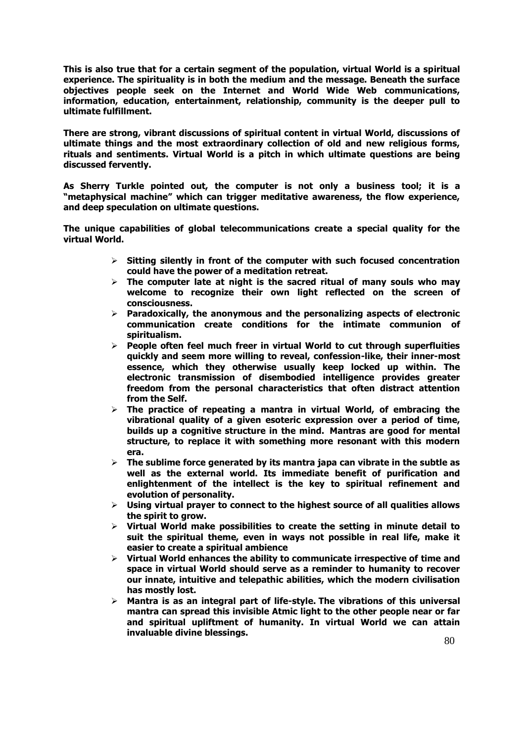**This is also true that for a certain segment of the population, virtual World is a spiritual experience. The spirituality is in both the medium and the message. Beneath the surface objectives people seek on the Internet and World Wide Web communications, information, education, entertainment, relationship, community is the deeper pull to ultimate fulfillment.** 

**There are strong, vibrant discussions of spiritual content in virtual World, discussions of ultimate things and the most extraordinary collection of old and new religious forms, rituals and sentiments. Virtual World is a pitch in which ultimate questions are being discussed fervently.** 

**As Sherry Turkle pointed out, the computer is not only a business tool; it is a "metaphysical machine" which can trigger meditative awareness, the flow experience, and deep speculation on ultimate questions.** 

**The unique capabilities of global telecommunications create a special quality for the virtual World.** 

- **Sitting silently in front of the computer with such focused concentration could have the power of a meditation retreat.**
- **The computer late at night is the sacred ritual of many souls who may welcome to recognize their own light reflected on the screen of consciousness.**
- **Paradoxically, the anonymous and the personalizing aspects of electronic communication create conditions for the intimate communion of spiritualism.**
- **People often feel much freer in virtual World to cut through superfluities quickly and seem more willing to reveal, confession-like, their inner-most essence, which they otherwise usually keep locked up within. The electronic transmission of disembodied intelligence provides greater freedom from the personal characteristics that often distract attention from the Self.**
- **The practice of repeating a mantra in virtual World, of embracing the vibrational quality of a given esoteric expression over a period of time, builds up a cognitive structure in the mind. Mantras are good for mental structure, to replace it with something more resonant with this modern era.**
- **The sublime force generated by its mantra japa can vibrate in the subtle as well as the external world. Its immediate benefit of purification and enlightenment of the intellect is the key to spiritual refinement and evolution of personality.**
- **Using virtual prayer to connect to the highest source of all qualities allows the spirit to grow.**
- **Virtual World make possibilities to create the setting in minute detail to suit the spiritual theme, even in ways not possible in real life, make it easier to create a spiritual ambience**
- **Virtual World enhances the ability to communicate irrespective of time and space in virtual World should serve as a reminder to humanity to recover our innate, intuitive and telepathic abilities, which the modern civilisation has mostly lost.**
- **Mantra is as an integral part of life-style. The vibrations of this universal mantra can spread this invisible Atmic light to the other people near or far and spiritual upliftment of humanity. In virtual World we can attain invaluable divine blessings.**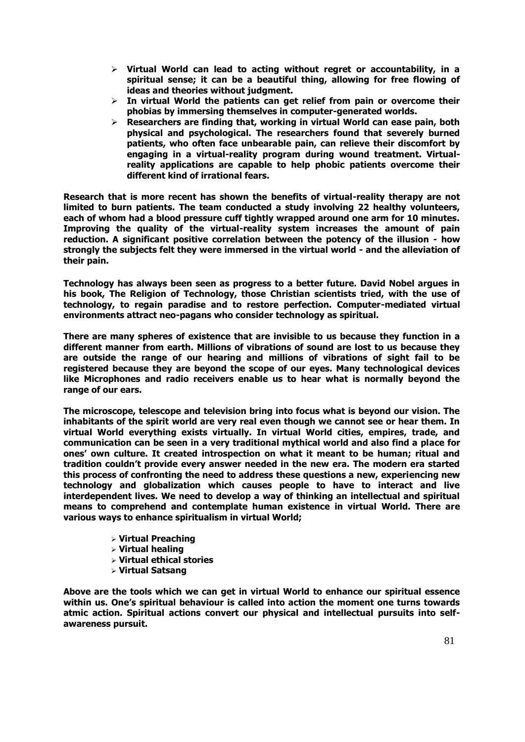- **Virtual World can lead to acting without regret or accountability, in a spiritual sense; it can be a beautiful thing, allowing for free flowing of ideas and theories without judgment.**
- **In virtual World the patients can get relief from pain or overcome their phobias by immersing themselves in computer-generated worlds.**
- **Researchers are finding that, working in virtual World can ease pain, both physical and psychological. The researchers found that severely burned patients, who often face unbearable pain, can relieve their discomfort by engaging in a virtual-reality program during wound treatment. Virtualreality applications are capable to help phobic patients overcome their different kind of irrational fears.**

**Research that is more recent has shown the benefits of virtual-reality therapy are not limited to burn patients. The team conducted a study involving 22 healthy volunteers, each of whom had a blood pressure cuff tightly wrapped around one arm for 10 minutes. Improving the quality of the virtual-reality system increases the amount of pain reduction. A significant positive correlation between the potency of the illusion - how strongly the subjects felt they were immersed in the virtual world - and the alleviation of their pain.** 

**Technology has always been seen as progress to a better future. David Nobel argues in his book, The Religion of Technology, those Christian scientists tried, with the use of technology, to regain paradise and to restore perfection. Computer-mediated virtual environments attract neo-pagans who consider technology as spiritual.** 

**There are many spheres of existence that are invisible to us because they function in a different manner from earth. Millions of vibrations of sound are lost to us because they are outside the range of our hearing and millions of vibrations of sight fail to be registered because they are beyond the scope of our eyes. Many technological devices like Microphones and radio receivers enable us to hear what is normally beyond the range of our ears.** 

**The microscope, telescope and television bring into focus what is beyond our vision. The inhabitants of the spirit world are very real even though we cannot see or hear them. In virtual World everything exists virtually. In virtual World cities, empires, trade, and communication can be seen in a very traditional mythical world and also find a place for ones' own culture. It created introspection on what it meant to be human; ritual and tradition couldn't provide every answer needed in the new era. The modern era started this process of confronting the need to address these questions a new, experiencing new technology and globalization which causes people to have to interact and live interdependent lives. We need to develop a way of thinking an intellectual and spiritual means to comprehend and contemplate human existence in virtual World. There are various ways to enhance spiritualism in virtual World;** 

- **Virtual Preaching**
- **Virtual healing**
- **Virtual ethical stories**
- **Virtual Satsang**

**Above are the tools which we can get in virtual World to enhance our spiritual essence within us. One's spiritual behaviour is called into action the moment one turns towards atmic action. Spiritual actions convert our physical and intellectual pursuits into selfawareness pursuit.**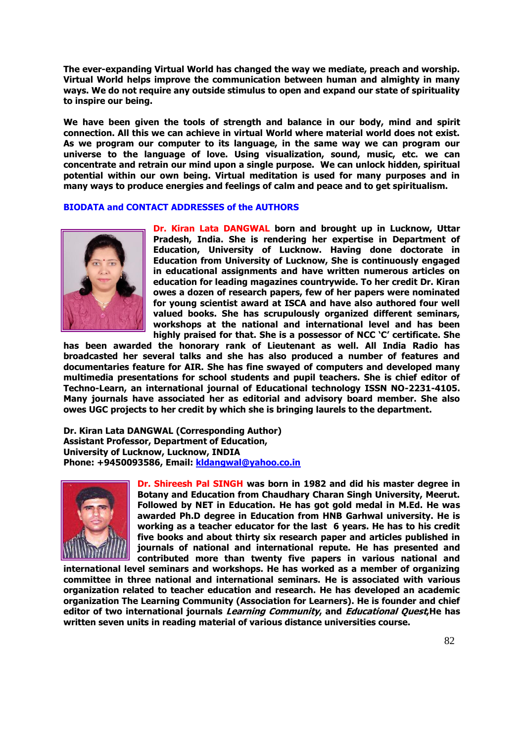**The ever-expanding Virtual World has changed the way we mediate, preach and worship. Virtual World helps improve the communication between human and almighty in many ways. We do not require any outside stimulus to open and expand our state of spirituality to inspire our being.** 

**We have been given the tools of strength and balance in our body, mind and spirit connection. All this we can achieve in virtual World where material world does not exist. As we program our computer to its language, in the same way we can program our universe to the language of love. Using visualization, sound, music, etc. we can concentrate and retrain our mind upon a single purpose. We can unlock hidden, spiritual potential within our own being. Virtual meditation is used for many purposes and in many ways to produce energies and feelings of calm and peace and to get spiritualism.** 

# **BIODATA and CONTACT ADDRESSES of the AUTHORS**



**Dr. Kiran Lata DANGWAL born and brought up in Lucknow, Uttar Pradesh, India. She is rendering her expertise in Department of Education, University of Lucknow. Having done doctorate in Education from University of Lucknow, She is continuously engaged in educational assignments and have written numerous articles on education for leading magazines countrywide. To her credit Dr. Kiran owes a dozen of research papers, few of her papers were nominated for young scientist award at ISCA and have also authored four well valued books. She has scrupulously organized different seminars, workshops at the national and international level and has been highly praised for that. She is a possessor of NCC 'C' certificate. She** 

**has been awarded the honorary rank of Lieutenant as well. All India Radio has broadcasted her several talks and she has also produced a number of features and documentaries feature for AIR. She has fine swayed of computers and developed many multimedia presentations for school students and pupil teachers. She is chief editor of Techno-Learn, an international journal of Educational technology ISSN NO-2231-4105. Many journals have associated her as editorial and advisory board member. She also owes UGC projects to her credit by which she is bringing laurels to the department.** 

**Dr. Kiran Lata DANGWAL (Corresponding Author) Assistant Professor, Department of Education, University of Lucknow, Lucknow, INDIA Phone: +9450093586, Email:** *[kldangwal@yahoo.co.in](mailto:kldangwal@yahoo.co.in)* 



**Dr. Shireesh Pal SINGH was born in 1982 and did his master degree in Botany and Education from Chaudhary Charan Singh University, Meerut. Followed by NET in Education. He has got gold medal in M.Ed. He was awarded Ph.D degree in Education from HNB Garhwal university. He is working as a teacher educator for the last 6 years. He has to his credit five books and about thirty six research paper and articles published in journals of national and international repute. He has presented and contributed more than twenty five papers in various national and** 

**international level seminars and workshops. He has worked as a member of organizing committee in three national and international seminars. He is associated with various organization related to teacher education and research. He has developed an academic organization The Learning Community (Association for Learners). He is founder and chief editor of two international journals Learning Community, and Educational Quest,He has written seven units in reading material of various distance universities course.**